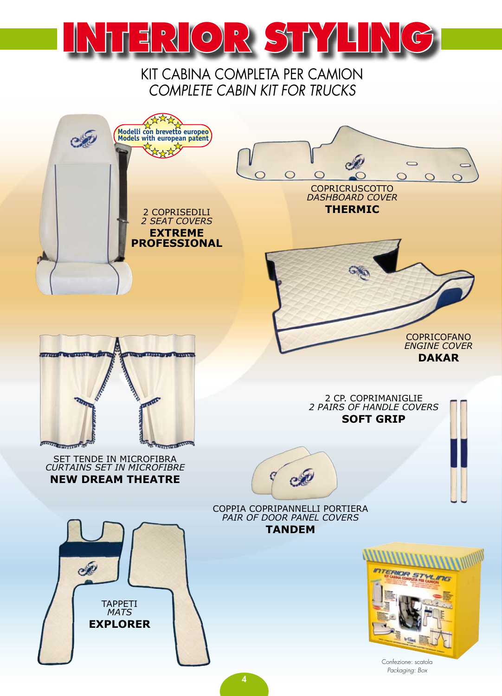

KIT CABINA COMPLETA PER CAMION *COMPLETE CABIN KIT FOR TRUCKS*

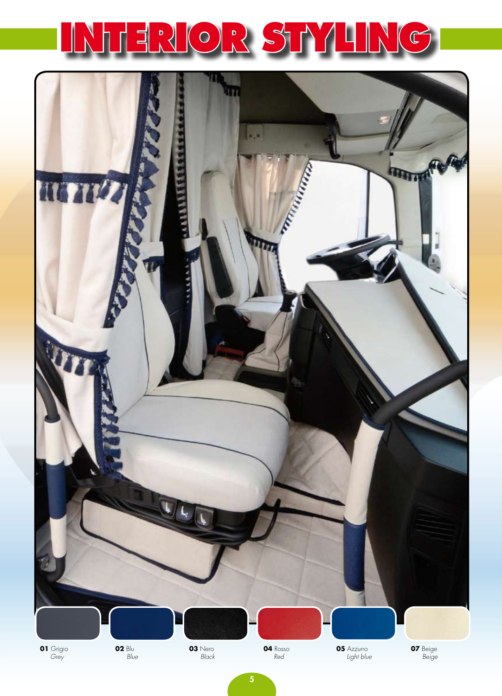

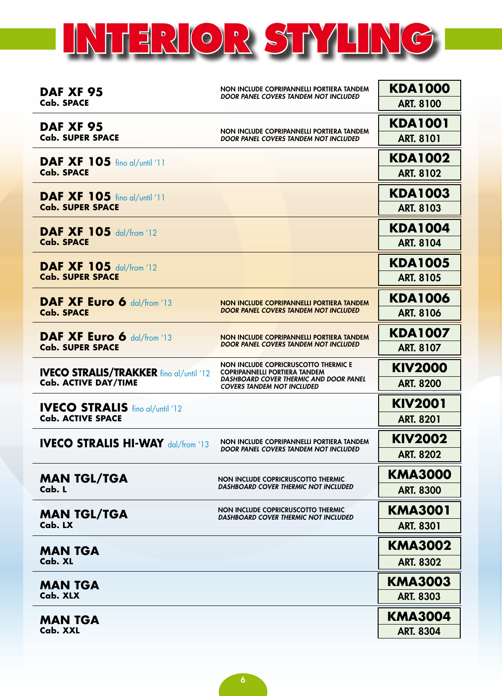

| DAF XF 95<br><b>Cab. SPACE</b>                                                | NON INCLUDE COPRIPANNELLI PORTIERA TANDEM<br>DOOR PANEL COVERS TANDEM NOT INCLUDED                                                                          | <b>KDA1000</b><br><b>ART. 8100</b>              |
|-------------------------------------------------------------------------------|-------------------------------------------------------------------------------------------------------------------------------------------------------------|-------------------------------------------------|
| DAF XF 95<br><b>Cab. SUPER SPACE</b>                                          | NON INCLUDE COPRIPANNELLI PORTIERA TANDEM<br>DOOR PANEL COVERS TANDEM NOT INCLUDED                                                                          | <b>KDA1001</b><br><b>ART. 8101</b>              |
| <b>DAF XF 105</b> fino al/until '11<br><b>Cab. SPACE</b>                      |                                                                                                                                                             | <b>KDA1002</b><br><b>ART. 8102</b>              |
| <b>DAF XF 105</b> fino al/until '11<br><b>Cab. SUPER SPACE</b>                |                                                                                                                                                             | <b>KDA1003</b><br><b>ART. 8103</b>              |
| <b>DAF XF 105 dal/from '12</b><br><b>Cab. SPACE</b>                           |                                                                                                                                                             | <b>KDA1004</b><br><b>ART. 8104</b>              |
| <b>DAF XF 105 dal/from '12</b><br><b>Cab. SUPER SPACE</b>                     |                                                                                                                                                             | <b>KDA1005</b><br><b>ART. 8105</b>              |
| DAF XF Euro 6 dal/from '13<br><b>Cab. SPACE</b>                               | NON INCLUDE COPRIPANNELLI PORTIERA TANDEM<br>DOOR PANEL COVERS TANDEM NOT INCLUDED                                                                          | <b>KDA1006</b><br><b>ART. 8106</b>              |
| DAF XF Euro 6 dal/from '13<br><b>Cab. SUPER SPACE</b>                         | NON INCLUDE COPRIPANNELLI PORTIERA TANDEM<br>DOOR PANEL COVERS TANDEM NOT INCLUDED                                                                          | <b>KDA1007</b><br><b>ART. 8107</b>              |
| <b>IVECO STRALIS/TRAKKER fino al/until '12</b><br><b>Cab. ACTIVE DAY/TIME</b> | NON INCLUDE COPRICRUSCOTTO THERMIC E<br><b>COPRIPANNELLI PORTIERA TANDEM</b><br>DASHBOARD COVER THERMIC AND DOOR PANEL<br><b>COVERS TANDEM NOT INCLUDED</b> | <b>KIV2000</b><br><b>ART. 8200</b>              |
| <b>IVECO STRALIS</b> fino al/until '12<br><b>Cab. ACTIVE SPACE</b>            |                                                                                                                                                             | <b>KIV2001</b><br><b>ART. 8201</b>              |
|                                                                               |                                                                                                                                                             |                                                 |
| <b>IVECO STRALIS HI-WAY dal/from '13</b>                                      | NON INCLUDE COPRIPANNELLI PORTIERA TANDEM<br><b>DOOR PANEL COVERS TANDEM NOT INCLUDED</b>                                                                   | <b>KIV2002</b><br><b>ART. 8202</b>              |
| <b>MAN TGL/TGA</b><br>Cab. L                                                  | NON INCLUDE COPRICRUSCOTTO THERMIC<br><b>DASHBOARD COVER THERMIC NOT INCLUDED</b>                                                                           | <b>KMA3000</b><br><b>ART. 8300</b>              |
| <b>MAN TGL/TGA</b><br>Cab. LX                                                 | NON INCLUDE COPRICRUSCOTTO THERMIC<br><b>DASHBOARD COVER THERMIC NOT INCLUDED</b>                                                                           | <b>KMA3001</b><br><b>ART. 8301</b>              |
| <b>MAN TGA</b><br>Cab. XL                                                     |                                                                                                                                                             | <b>KMA3002</b>                                  |
| <b>MAN TGA</b><br>Cab. XLX                                                    |                                                                                                                                                             | <b>ART. 8302</b><br>KMA3003<br><b>ART. 8303</b> |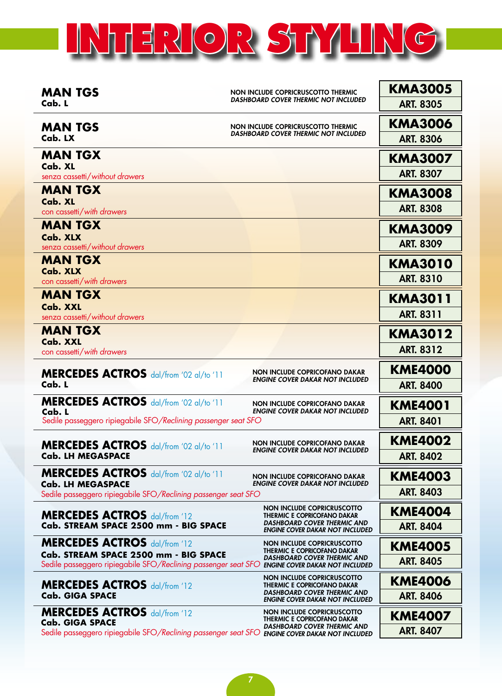## **INTERIOR STYLING**

| <b>MAN TGS</b>                                                                                   | NON INCLUDE COPRICRUSCOTTO THERMIC<br>DASHBOARD COVER THERMIC NOT INCLUDED   | <b>KMA3005</b>                     |
|--------------------------------------------------------------------------------------------------|------------------------------------------------------------------------------|------------------------------------|
| Cab. L                                                                                           |                                                                              | <b>ART. 8305</b>                   |
| <b>MAN TGS</b>                                                                                   | NON INCLUDE COPRICRUSCOTTO THERMIC                                           | <b>KMA3006</b>                     |
| Cab. LX                                                                                          | <b>DASHBOARD COVER THERMIC NOT INCLUDED</b>                                  | <b>ART. 8306</b>                   |
| <b>MAN TGX</b>                                                                                   |                                                                              | <b>KMA3007</b>                     |
| Cab. XL<br>senza cassetti/without drawers                                                        |                                                                              | <b>ART. 8307</b>                   |
| <b>MAN TGX</b>                                                                                   |                                                                              |                                    |
| Cab. XL                                                                                          |                                                                              | <b>KMA3008</b>                     |
| con cassetti/with drawers                                                                        |                                                                              | <b>ART. 8308</b>                   |
| <b>MAN TGX</b>                                                                                   |                                                                              | <b>KMA3009</b>                     |
| Cab. XLX<br>senza cassetti/without drawers                                                       |                                                                              | <b>ART. 8309</b>                   |
| <b>MAN TGX</b>                                                                                   |                                                                              | <b>KMA3010</b>                     |
| Cab. XLX                                                                                         |                                                                              | <b>ART. 8310</b>                   |
| con cassetti/with drawers                                                                        |                                                                              |                                    |
| <b>MAN TGX</b><br>Cab. XXL                                                                       |                                                                              | <b>KMA3011</b>                     |
| senza cassetti/without drawers                                                                   |                                                                              | <b>ART. 8311</b>                   |
| <b>MAN TGX</b>                                                                                   |                                                                              | <b>KMA3012</b>                     |
| Cab. XXL<br>con cassetti/with drawers                                                            |                                                                              | <b>ART. 8312</b>                   |
|                                                                                                  |                                                                              |                                    |
| MERCEDES ACTROS dal/from '02 al/to '11                                                           | NON INCLUDE COPRICOFANO DAKAR<br><b>ENGINE COVER DAKAR NOT INCLUDED</b>      | <b>KME4000</b>                     |
| Cab. L                                                                                           |                                                                              | <b>ART. 8400</b>                   |
| MERCEDES ACTROS dal/from '02 al/to '11<br>Cab. L                                                 | NON INCLUDE COPRICOFANO DAKAR<br><b>ENGINE COVER DAKAR NOT INCLUDED</b>      | <b>KME4001</b>                     |
| Sedile passeggero ripiegabile SFO/Reclining passenger seat SFO                                   |                                                                              | <b>ART. 8401</b>                   |
|                                                                                                  | NON INCLUDE COPRICOFANO DAKAR                                                |                                    |
| MERCEDES ACTROS dal/from '02 al/to '11<br><b>Cab. LH MEGASPACE</b>                               | <b>ENGINE COVER DAKAR NOT INCLUDED</b>                                       | <b>KME4002</b><br><b>ART. 8402</b> |
| <b>MERCEDES ACTROS</b> dal/from '02 al/to '11                                                    |                                                                              |                                    |
| <b>Cab. LH MEGASPACE</b>                                                                         | NON INCLUDE COPRICOFANO DAKAR<br><b>ENGINE COVER DAKAR NOT INCLUDED</b>      | <b>KME4003</b>                     |
| Sedile passeggero ripiegabile SFO/Reclining passenger seat SFO                                   |                                                                              | <b>ART. 8403</b>                   |
| NON INCLUDE COPRICRUSCOTTO<br><b>MERCEDES ACTROS dal/from '12</b><br>THERMIC E COPRICOFANO DAKAR |                                                                              | <b>KME4004</b>                     |
| Cab. STREAM SPACE 2500 mm - BIG SPACE                                                            | <b>DASHBOARD COVER THERMIC AND</b><br><b>ENGINE COVER DAKAR NOT INCLUDED</b> | <b>ART. 8404</b>                   |
| <b>MERCEDES ACTROS dal/from '12</b>                                                              | NON INCLUDE COPRICRUSCOTTO                                                   | <b>KME4005</b>                     |
| Cab. STREAM SPACE 2500 mm - BIG SPACE                                                            | THERMIC E COPRICOFANO DAKAR<br>DASHBOARD COVER THERMIC AND                   | <b>ART. 8405</b>                   |
| Sedile passeggero ripiegabile SFO/Reclining passenger seat SFO                                   | <b>ENGINE COVER DAKAR NOT INCLUDED</b><br><b>NON INCLUDE COPRICRUSCOTTO</b>  |                                    |
| <b>MERCEDES ACTROS dal/from '12</b>                                                              | THERMIC E COPRICOFANO DAKAR<br><b>DASHBOARD COVER THERMIC AND</b>            | <b>KME4006</b>                     |
| <b>Cab. GIGA SPACE</b>                                                                           | <b>ENGINE COVER DAKAR NOT INCLUDED</b>                                       | <b>ART. 8406</b>                   |
| <b>MERCEDES ACTROS dal/from '12</b><br><b>Cab. GIGA SPACE</b>                                    | <b>NON INCLUDE COPRICRUSCOTTO</b><br>THERMIC E COPRICOFANO DAKAR             | <b>KME4007</b>                     |
| Sedile passeggero ripiegabile SFO/Reclining passenger seat SFO ENGINE COVER DAKAR NOT INCLUDED   | DASHBOARD COVER THERMIC AND                                                  | <b>ART. 8407</b>                   |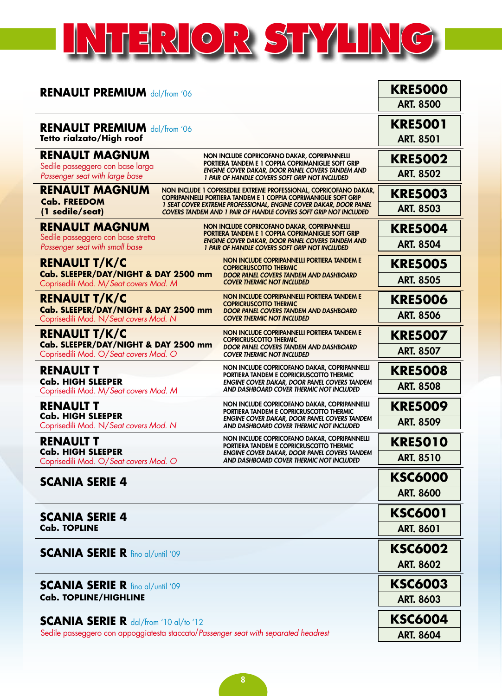## **INTERIOR STYLING**

| <b>RENAULT PREMIUM dal/from '06</b>                                                 |                                                                                                                                        | <b>KRE5000</b>   |
|-------------------------------------------------------------------------------------|----------------------------------------------------------------------------------------------------------------------------------------|------------------|
|                                                                                     |                                                                                                                                        | <b>ART. 8500</b> |
| <b>RENAULT PREMIUM dal/from '06</b>                                                 |                                                                                                                                        | <b>KRE5001</b>   |
| Tetto rialzato/High roof                                                            |                                                                                                                                        | <b>ART. 8501</b> |
| <b>RENAULT MAGNUM</b>                                                               | NON INCLUDE COPRICOFANO DAKAR, COPRIPANNELLI<br>PORTIERA TANDEM E 1 COPPIA COPRIMANIGLIE SOFT GRIP                                     | <b>KRE5002</b>   |
| Sedile passeggero con base larga<br>Passenger seat with large base                  | ENGINE COVER DAKAR, DOOR PANEL COVERS TANDEM AND<br>1 PAIR OF HANDLE COVERS SOFT GRIP NOT INCLUDED                                     | <b>ART. 8502</b> |
| <b>RENAULT MAGNUM</b>                                                               | NON INCLUDE 1 COPRISEDILE EXTREME PROFESSIONAL, COPRICOFANO DAKAR,<br>COPRIPANNELLI PORTIERA TANDEM E 1 COPPIA COPRIMANIGLIE SOFT GRIP | <b>KRE5003</b>   |
| <b>Cab. FREEDOM</b><br>(1 sedile/seat)                                              | 1 SEAT COVER EXTREME PROFESSIONAL, ENGINE COVER DAKAR, DOOR PANEL<br>COVERS TANDEM AND 1 PAIR OF HANDLE COVERS SOFT GRIP NOT INCLUDED  | <b>ART. 8503</b> |
| <b>RENAULT MAGNUM</b>                                                               | NON INCLUDE COPRICOFANO DAKAR, COPRIPANNELLI<br>PORTIERA TANDEM E 1 COPPIA COPRIMANIGLIE SOFT GRIP                                     | <b>KRE5004</b>   |
| Sedile passeggero con base stretta<br>Passenger seat with small base                | <b>ENGINE COVER DAKAR, DOOR PANEL COVERS TANDEM AND</b><br>1 PAIR OF HANDLE COVERS SOFT GRIP NOT INCLUDED                              | <b>ART. 8504</b> |
| <b>RENAULT T/K/C</b>                                                                | NON INCLUDE COPRIPANNELLI PORTIERA TANDEM E<br><b>COPRICRUSCOTTO THERMIC</b>                                                           | <b>KRE5005</b>   |
| Cab. SLEEPER/DAY/NIGHT & DAY 2500 mm<br>Coprisedili Mod. M/Seat covers Mod. M       | <b>DOOR PANEL COVERS TANDEM AND DASHBOARD</b><br><b>COVER THERMIC NOT INCLUDED</b>                                                     | <b>ART. 8505</b> |
| <b>RENAULT T/K/C</b>                                                                | NON INCLUDE COPRIPANNELLI PORTIERA TANDEM E<br><b>COPRICRUSCOTTO THERMIC</b>                                                           | <b>KRE5006</b>   |
| Cab. SLEEPER/DAY/NIGHT & DAY 2500 mm<br>Coprisedili Mod. N/Seat covers Mod. N       | <b>DOOR PANEL COVERS TANDEM AND DASHBOARD</b><br><b>COVER THERMIC NOT INCLUDED</b>                                                     | <b>ART. 8506</b> |
| <b>RENAULT T/K/C</b>                                                                | NON INCLUDE COPRIPANNELLI PORTIERA TANDEM E<br><b>COPRICRUSCOTTO THERMIC</b>                                                           | <b>KRE5007</b>   |
| Cab. SLEEPER/DAY/NIGHT & DAY 2500 mm<br>Coprisedili Mod. O/Seat covers Mod. O       | DOOR PANEL COVERS TANDEM AND DASHBOARD<br><b>COVER THERMIC NOT INCLUDED</b>                                                            | <b>ART. 8507</b> |
| <b>RENAULT T</b>                                                                    | NON INCLUDE COPRICOFANO DAKAR, COPRIPANNELLI<br>PORTIERA TANDEM E COPRICRUSCOTTO THERMIC                                               | <b>KRE5008</b>   |
| <b>Cab. HIGH SLEEPER</b><br>Coprisedili Mod. M/Seat covers Mod. M                   | <b>ENGINE COVER DAKAR, DOOR PANEL COVERS TANDEM</b><br>AND DASHBOARD COVER THERMIC NOT INCLUDED                                        | <b>ART. 8508</b> |
| <b>RENAULT T</b>                                                                    | NON INCLUDE COPRICOFANO DAKAR, COPRIPANNELLI<br>PORTIERA TANDEM E COPRICRUSCOTTO THERMIC                                               | <b>KRE5009</b>   |
| <b>Cab. HIGH SLEEPER</b><br>Coprisedili Mod. N/Seat covers Mod. N                   | <b>ENGINE COVER DAKAR, DOOR PANEL COVERS TANDEM</b><br>AND DASHBOARD COVER THERMIC NOT INCLUDED                                        | <b>ART. 8509</b> |
| RENAULT T                                                                           | NON INCLUDE COPRICOFANO DAKAR, COPRIPANNELLI<br>PORTIERA TANDEM E COPRICRUSCOTTO THERMIC                                               | <b>KRE5010</b>   |
| <b>Cab. HIGH SLEEPER</b><br>Coprisedili Mod. O/Seat covers Mod. O                   | <b>ENGINE COVER DAKAR, DOOR PANEL COVERS TANDEM</b><br>AND DASHBOARD COVER THERMIC NOT INCLUDED                                        | <b>ART. 8510</b> |
| <b>SCANIA SERIE 4</b>                                                               |                                                                                                                                        | <b>KSC6000</b>   |
|                                                                                     |                                                                                                                                        | <b>ART. 8600</b> |
| <b>SCANIA SERIE 4</b>                                                               |                                                                                                                                        | <b>KSC6001</b>   |
| <b>Cab. TOPLINE</b>                                                                 |                                                                                                                                        | <b>ART. 8601</b> |
| <b>SCANIA SERIE R fino al/until '09</b>                                             |                                                                                                                                        | <b>KSC6002</b>   |
|                                                                                     |                                                                                                                                        | <b>ART. 8602</b> |
| <b>SCANIA SERIE R</b> fino al/until '09                                             |                                                                                                                                        | <b>KSC6003</b>   |
| <b>Cab. TOPLINE/HIGHLINE</b>                                                        |                                                                                                                                        | <b>ART. 8603</b> |
| <b>SCANIA SERIE R</b> $\frac{da}{from'}$ 10 $a$ /to '12                             |                                                                                                                                        | <b>KSC6004</b>   |
| Sedile passeggero con appoggiatesta staccato/Passenger seat with separated headrest |                                                                                                                                        | <b>ART. 8604</b> |